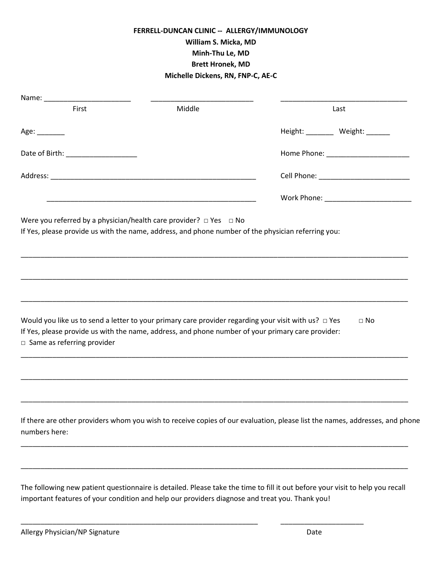# **FERRELL-DUNCAN CLINIC -- ALLERGY/IMMUNOLOGY William S. Micka, MD Minh-Thu Le, MD Brett Hronek, MD Michelle Dickens, RN, FNP-C, AE-C**

| Middle |                                    | Last                                                                                                                                                                                                                                                                                                                                                                                                                                                                                                                                                                                                                                                        |
|--------|------------------------------------|-------------------------------------------------------------------------------------------------------------------------------------------------------------------------------------------------------------------------------------------------------------------------------------------------------------------------------------------------------------------------------------------------------------------------------------------------------------------------------------------------------------------------------------------------------------------------------------------------------------------------------------------------------------|
|        |                                    | Height: _______ Weight: ______                                                                                                                                                                                                                                                                                                                                                                                                                                                                                                                                                                                                                              |
|        |                                    | Home Phone: _______________________                                                                                                                                                                                                                                                                                                                                                                                                                                                                                                                                                                                                                         |
|        |                                    |                                                                                                                                                                                                                                                                                                                                                                                                                                                                                                                                                                                                                                                             |
|        |                                    |                                                                                                                                                                                                                                                                                                                                                                                                                                                                                                                                                                                                                                                             |
|        |                                    |                                                                                                                                                                                                                                                                                                                                                                                                                                                                                                                                                                                                                                                             |
|        |                                    | $\Box$ No                                                                                                                                                                                                                                                                                                                                                                                                                                                                                                                                                                                                                                                   |
|        |                                    |                                                                                                                                                                                                                                                                                                                                                                                                                                                                                                                                                                                                                                                             |
|        |                                    |                                                                                                                                                                                                                                                                                                                                                                                                                                                                                                                                                                                                                                                             |
|        |                                    |                                                                                                                                                                                                                                                                                                                                                                                                                                                                                                                                                                                                                                                             |
|        | Date of Birth: ___________________ | <u> 1989 - Johann John Stoff, deutscher Stoffen und der Stoffen und der Stoffen und der Stoffen und der Stoffen u</u><br>Were you referred by a physician/health care provider? $\Box$ Yes $\Box$ No<br>If Yes, please provide us with the name, address, and phone number of the physician referring you:<br>Would you like us to send a letter to your primary care provider regarding your visit with us? $\Box$ Yes<br>If Yes, please provide us with the name, address, and phone number of your primary care provider:<br>If there are other providers whom you wish to receive copies of our evaluation, please list the names, addresses, and phone |

The following new patient questionnaire is detailed. Please take the time to fill it out before your visit to help you recall important features of your condition and help our providers diagnose and treat you. Thank you!

\_\_\_\_\_\_\_\_\_\_\_\_\_\_\_\_\_\_\_\_\_\_\_\_\_\_\_\_\_\_\_\_\_\_\_\_\_\_\_\_\_\_\_\_\_\_\_\_\_\_\_\_\_\_\_\_\_\_\_\_ \_\_\_\_\_\_\_\_\_\_\_\_\_\_\_\_\_\_\_\_\_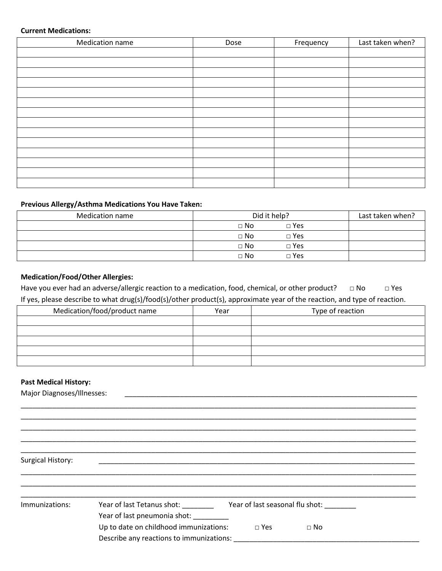#### **Current Medications:**

| Medication name | Dose | Frequency | Last taken when? |
|-----------------|------|-----------|------------------|
|                 |      |           |                  |
|                 |      |           |                  |
|                 |      |           |                  |
|                 |      |           |                  |
|                 |      |           |                  |
|                 |      |           |                  |
|                 |      |           |                  |
|                 |      |           |                  |
|                 |      |           |                  |
|                 |      |           |                  |
|                 |      |           |                  |
|                 |      |           |                  |
|                 |      |           |                  |
|                 |      |           |                  |

# **Previous Allergy/Asthma Medications You Have Taken:**

| <b>Medication name</b> | Did it help?            | Last taken when? |
|------------------------|-------------------------|------------------|
|                        | $\Box$ Yes<br>$\Box$ No |                  |
|                        | $\Box$ No<br>$\Box$ Yes |                  |
|                        | $\Box$ No<br>$\Box$ Yes |                  |
|                        | $\Box$ No<br>$\Box$ Yes |                  |

# **Medication/Food/Other Allergies:**

Have you ever had an adverse/allergic reaction to a medication, food, chemical, or other product? □ No □ Yes If yes, please describe to what drug(s)/food(s)/other product(s), approximate year of the reaction, and type of reaction.

| Medication/food/product name | Year | Type of reaction |
|------------------------------|------|------------------|
|                              |      |                  |
|                              |      |                  |
|                              |      |                  |
|                              |      |                  |
|                              |      |                  |

\_\_\_\_\_\_\_\_\_\_\_\_\_\_\_\_\_\_\_\_\_\_\_\_\_\_\_\_\_\_\_\_\_\_\_\_\_\_\_\_\_\_\_\_\_\_\_\_\_\_\_\_\_\_\_\_\_\_\_\_\_\_\_\_\_\_\_\_\_\_\_\_\_\_\_\_\_\_\_\_\_\_\_\_\_\_\_\_\_\_\_\_\_\_\_\_\_\_\_\_ \_\_\_\_\_\_\_\_\_\_\_\_\_\_\_\_\_\_\_\_\_\_\_\_\_\_\_\_\_\_\_\_\_\_\_\_\_\_\_\_\_\_\_\_\_\_\_\_\_\_\_\_\_\_\_\_\_\_\_\_\_\_\_\_\_\_\_\_\_\_\_\_\_\_\_\_\_\_\_\_\_\_\_\_\_\_\_\_\_\_\_\_\_\_\_\_\_\_\_\_ \_\_\_\_\_\_\_\_\_\_\_\_\_\_\_\_\_\_\_\_\_\_\_\_\_\_\_\_\_\_\_\_\_\_\_\_\_\_\_\_\_\_\_\_\_\_\_\_\_\_\_\_\_\_\_\_\_\_\_\_\_\_\_\_\_\_\_\_\_\_\_\_\_\_\_\_\_\_\_\_\_\_\_\_\_\_\_\_\_\_\_\_\_\_\_\_\_\_\_\_ \_\_\_\_\_\_\_\_\_\_\_\_\_\_\_\_\_\_\_\_\_\_\_\_\_\_\_\_\_\_\_\_\_\_\_\_\_\_\_\_\_\_\_\_\_\_\_\_\_\_\_\_\_\_\_\_\_\_\_\_\_\_\_\_\_\_\_\_\_\_\_\_\_\_\_\_\_\_\_\_\_\_\_\_\_\_\_\_\_\_\_\_\_\_\_\_\_\_\_\_ \_\_\_\_\_\_\_\_\_\_\_\_\_\_\_\_\_\_\_\_\_\_\_\_\_\_\_\_\_\_\_\_\_\_\_\_\_\_\_\_\_\_\_\_\_\_\_\_\_\_\_\_\_\_\_\_\_\_\_\_\_\_\_\_\_\_\_\_\_\_\_\_\_\_\_\_\_\_\_\_\_\_\_\_\_\_\_\_\_\_\_\_\_\_\_\_\_\_\_\_

## **Past Medical History:**

Major Diagnoses/Illnesses:

Surgical History:

| Immunizations: | Year of last Tetanus shot:               | Year of last seasonal flu shot: |           |
|----------------|------------------------------------------|---------------------------------|-----------|
|                | Year of last pneumonia shot:             |                                 |           |
|                | Up to date on childhood immunizations:   | $\Box$ Yes                      | $\Box$ No |
|                | Describe any reactions to immunizations: |                                 |           |

\_\_\_\_\_\_\_\_\_\_\_\_\_\_\_\_\_\_\_\_\_\_\_\_\_\_\_\_\_\_\_\_\_\_\_\_\_\_\_\_\_\_\_\_\_\_\_\_\_\_\_\_\_\_\_\_\_\_\_\_\_\_\_\_\_\_\_\_\_\_\_\_\_\_\_\_\_\_\_\_\_\_\_\_\_\_\_\_\_\_\_\_\_\_\_\_\_\_\_\_ \_\_\_\_\_\_\_\_\_\_\_\_\_\_\_\_\_\_\_\_\_\_\_\_\_\_\_\_\_\_\_\_\_\_\_\_\_\_\_\_\_\_\_\_\_\_\_\_\_\_\_\_\_\_\_\_\_\_\_\_\_\_\_\_\_\_\_\_\_\_\_\_\_\_\_\_\_\_\_\_\_\_\_\_\_\_\_\_\_\_\_\_\_\_\_\_\_\_\_\_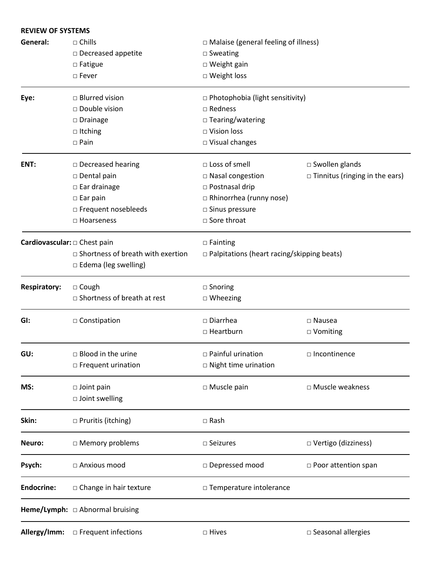| <b>REVIEW OF SYSTEMS</b>          |                                          |                                                   |                                       |  |  |  |  |  |  |
|-----------------------------------|------------------------------------------|---------------------------------------------------|---------------------------------------|--|--|--|--|--|--|
| General:                          | $\Box$ Chills                            | $\Box$ Malaise (general feeling of illness)       |                                       |  |  |  |  |  |  |
|                                   | $\square$ Decreased appetite             | $\square$ Sweating                                |                                       |  |  |  |  |  |  |
|                                   | $\square$ Fatigue                        | □ Weight gain                                     |                                       |  |  |  |  |  |  |
|                                   | □ Weight loss<br>□ Fever                 |                                                   |                                       |  |  |  |  |  |  |
| Eye:                              | $\Box$ Blurred vision                    | $\Box$ Photophobia (light sensitivity)            |                                       |  |  |  |  |  |  |
|                                   | □ Double vision                          | $\Box$ Redness                                    |                                       |  |  |  |  |  |  |
|                                   | $\square$ Drainage                       | $\Box$ Tearing/watering                           |                                       |  |  |  |  |  |  |
|                                   | $\Box$ Itching                           | □ Vision loss                                     |                                       |  |  |  |  |  |  |
|                                   | $\square$ Pain                           | $\Box$ Visual changes                             |                                       |  |  |  |  |  |  |
| ENT:                              | □ Decreased hearing                      | □ Loss of smell                                   | □ Swollen glands                      |  |  |  |  |  |  |
|                                   | $\square$ Dental pain                    | □ Nasal congestion                                | $\Box$ Tinnitus (ringing in the ears) |  |  |  |  |  |  |
|                                   | $\Box$ Ear drainage                      | □ Postnasal drip                                  |                                       |  |  |  |  |  |  |
|                                   | $\square$ Ear pain                       | □ Rhinorrhea (runny nose)                         |                                       |  |  |  |  |  |  |
|                                   | □ Frequent nosebleeds                    | □ Sinus pressure                                  |                                       |  |  |  |  |  |  |
|                                   | $\Box$ Hoarseness                        | □ Sore throat                                     |                                       |  |  |  |  |  |  |
| Cardiovascular: $\Box$ Chest pain |                                          | $\Box$ Fainting                                   |                                       |  |  |  |  |  |  |
|                                   | $\Box$ Shortness of breath with exertion | $\Box$ Palpitations (heart racing/skipping beats) |                                       |  |  |  |  |  |  |
|                                   | $\Box$ Edema (leg swelling)              |                                                   |                                       |  |  |  |  |  |  |
| <b>Respiratory:</b>               | $\Box$ Cough                             | $\square$ Snoring                                 |                                       |  |  |  |  |  |  |
|                                   | $\Box$ Shortness of breath at rest       | $\Box$ Wheezing                                   |                                       |  |  |  |  |  |  |
| GI:                               | □ Constipation                           | $\square$ Diarrhea                                | $\square$ Nausea                      |  |  |  |  |  |  |
|                                   |                                          | □ Heartburn                                       | □ Vomiting                            |  |  |  |  |  |  |
| GU:                               | $\Box$ Blood in the urine                | $\Box$ Painful urination                          | □ Incontinence                        |  |  |  |  |  |  |
|                                   | $\Box$ Frequent urination                | $\Box$ Night time urination                       |                                       |  |  |  |  |  |  |
| MS:                               | $\Box$ Joint pain                        | □ Muscle pain                                     | □ Muscle weakness                     |  |  |  |  |  |  |
|                                   | □ Joint swelling                         |                                                   |                                       |  |  |  |  |  |  |
| Skin:                             | $\Box$ Pruritis (itching)                | □ Rash                                            |                                       |  |  |  |  |  |  |
| Neuro:                            | □ Memory problems                        | $\square$ Seizures                                | □ Vertigo (dizziness)                 |  |  |  |  |  |  |
| Psych:                            | □ Anxious mood                           | □ Depressed mood                                  | $\Box$ Poor attention span            |  |  |  |  |  |  |
| <b>Endocrine:</b>                 | $\Box$ Change in hair texture            | □ Temperature intolerance                         |                                       |  |  |  |  |  |  |
|                                   | Heme/Lymph: □ Abnormal bruising          |                                                   |                                       |  |  |  |  |  |  |
| Allergy/Imm:                      | $\Box$ Frequent infections               | □ Hives                                           | □ Seasonal allergies                  |  |  |  |  |  |  |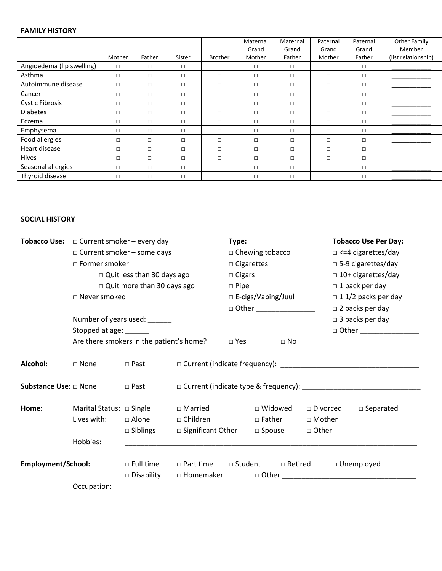#### **FAMILY HISTORY**

|                           |        |        |        |                | Maternal | Maternal | Paternal | Paternal | Other Family        |
|---------------------------|--------|--------|--------|----------------|----------|----------|----------|----------|---------------------|
|                           |        |        |        |                | Grand    | Grand    | Grand    | Grand    | Member              |
|                           | Mother | Father | Sister | <b>Brother</b> | Mother   | Father   | Mother   | Father   | (list relationship) |
| Angioedema (lip swelling) | $\Box$ | $\Box$ | $\Box$ | $\Box$         | $\Box$   | $\Box$   | □        | $\Box$   |                     |
| Asthma                    | $\Box$ | □      | $\Box$ | $\Box$         | $\Box$   | $\Box$   | $\Box$   | $\Box$   |                     |
| Autoimmune disease        | $\Box$ | $\Box$ | $\Box$ | $\Box$         | $\Box$   | $\Box$   | $\Box$   | $\Box$   |                     |
| Cancer                    | $\Box$ | $\Box$ | $\Box$ | $\Box$         | $\Box$   | $\Box$   | □        | $\Box$   |                     |
| <b>Cystic Fibrosis</b>    | $\Box$ | $\Box$ | $\Box$ | $\Box$         | $\Box$   | $\Box$   | □        | $\Box$   |                     |
| <b>Diabetes</b>           | $\Box$ | □      | $\Box$ | $\Box$         | $\Box$   | $\Box$   | □        | $\Box$   |                     |
| Eczema                    | $\Box$ | $\Box$ | $\Box$ | $\Box$         | $\Box$   | $\Box$   | $\Box$   | $\Box$   |                     |
| Emphysema                 | $\Box$ | $\Box$ | $\Box$ | $\Box$         | $\Box$   | $\Box$   | п        | $\Box$   |                     |
| Food allergies            | $\Box$ | $\Box$ | $\Box$ | $\Box$         | $\Box$   | $\Box$   | □        | $\Box$   |                     |
| Heart disease             | $\Box$ | $\Box$ | $\Box$ | $\Box$         | $\Box$   | $\Box$   | П        | $\Box$   |                     |
| <b>Hives</b>              | $\Box$ | $\Box$ | $\Box$ | $\Box$         | $\Box$   | $\Box$   | □        | $\Box$   |                     |
| Seasonal allergies        | $\Box$ | $\Box$ | $\Box$ | $\Box$         | $\Box$   | $\Box$   | П        | $\Box$   |                     |
| Thyroid disease           | $\Box$ | □      | $\Box$ | $\Box$         | $\Box$   | $\Box$   | □        | $\Box$   |                     |

# **SOCIAL HISTORY**

|                              | <b>Tobacco Use:</b> $\Box$ Current smoker – every day<br>Type: |                                   |                                                                  |                           |                   |                            | <b>Tobacco Use Per Day:</b>            |  |  |
|------------------------------|----------------------------------------------------------------|-----------------------------------|------------------------------------------------------------------|---------------------------|-------------------|----------------------------|----------------------------------------|--|--|
|                              | $\Box$ Current smoker – some days                              |                                   |                                                                  |                           | □ Chewing tobacco |                            | $\Box$ <=4 cigarettes/day              |  |  |
|                              | $\Box$ Former smoker                                           |                                   |                                                                  |                           | □ Cigarettes      |                            | □ 5-9 cigarettes/day                   |  |  |
|                              |                                                                | $\Box$ Quit less than 30 days ago |                                                                  | $\Box$ Cigars             |                   |                            | $\Box$ 10+ cigarettes/day              |  |  |
|                              |                                                                | $\Box$ Quit more than 30 days ago |                                                                  | $\Box$ Pipe               |                   |                            | $\Box$ 1 pack per day                  |  |  |
|                              | □ Never smoked                                                 |                                   |                                                                  | □ E-cigs/Vaping/Juul      |                   | $\Box$ 1 1/2 packs per day |                                        |  |  |
|                              |                                                                |                                   |                                                                  | □ Other _________________ |                   |                            | $\Box$ 2 packs per day                 |  |  |
|                              |                                                                | Number of years used: ______      |                                                                  |                           |                   |                            | $\Box$ 3 packs per day                 |  |  |
|                              | Stopped at age: ______                                         |                                   |                                                                  |                           |                   |                            | $\Box$ Other $\Box$                    |  |  |
|                              | Are there smokers in the patient's home?                       |                                   |                                                                  | $\Box$ Yes                | $\Box$ No         |                            |                                        |  |  |
| Alcohol:                     | □ None                                                         | $\Box$ Past                       |                                                                  |                           |                   |                            |                                        |  |  |
| <b>Substance Use:</b> □ None |                                                                | $\Box$ Past                       |                                                                  |                           |                   |                            |                                        |  |  |
| Home:                        | Marital Status: □ Single                                       |                                   | $\Box$ Married                                                   |                           | $\Box$ Widowed    |                            | $\square$ Divorced $\square$ Separated |  |  |
|                              | Lives with:                                                    | $\Box$ Alone                      | $\Box$ Children                                                  |                           | $\Box$ Father     | □ Mother                   |                                        |  |  |
|                              |                                                                | $\Box$ Siblings                   | □ Significant Other □ Spouse                                     |                           |                   |                            |                                        |  |  |
|                              | Hobbies:                                                       |                                   |                                                                  |                           |                   |                            |                                        |  |  |
| <b>Employment/School:</b>    |                                                                | $\Box$ Full time                  | $\Box$ Part time $\Box$ Student $\Box$ Retired $\Box$ Unemployed |                           |                   |                            |                                        |  |  |
|                              |                                                                | $\Box$ Disability                 |                                                                  |                           |                   |                            |                                        |  |  |
|                              | Occupation:                                                    |                                   |                                                                  |                           |                   |                            |                                        |  |  |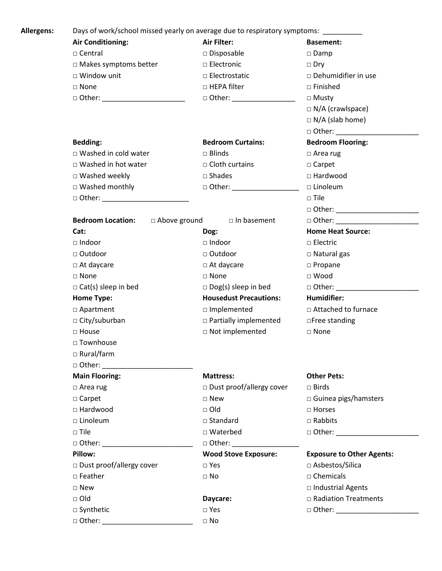**Allergens:** Days of work/school missed yearly on average due to respiratory symptoms: \_\_\_\_\_\_\_\_\_\_ **Air Conditioning: Air Filter: Basement:** □ Central □ Disposable □ Damp □ Makes symptoms better □ Electronic □ □ Dry □ Window unit □ □ □ Electrostatic □ □ Dehumidifier in use □ None □ HEPA filter □ Finished □ Other: \_\_\_\_\_\_\_\_\_\_\_\_\_\_\_\_\_\_\_\_\_\_\_\_\_ □ Other: \_\_\_\_\_\_\_\_\_\_\_\_\_\_\_\_\_\_ □ Musty □ N/A (crawlspace)  $\square$  N/A (slab home) □ Other: \_\_\_\_\_\_\_\_\_\_\_\_\_\_\_\_\_\_\_\_\_ **Bedding: Bedroom Curtains: Bedroom Flooring:** □ Washed in cold water □ Blinds □ Area rug □ Washed in hot water □ □ Cloth curtains □ Carpet □ Washed weekly □ Shades □ Hardwood □ Washed monthly □ □ Other: □ □ □ Linoleum □ Other: \_\_\_\_\_\_\_\_\_\_\_\_\_\_\_\_\_\_\_\_\_\_ □ Tile □ Other: \_\_\_\_\_\_\_\_\_\_\_\_\_\_\_\_\_\_\_\_\_ **Bedroom Location:** □ Above ground □ In basement □ Other: **Cat: Dog: Home Heat Source:** □ Indoor □ Indoor □ Electric □ Outdoor □ □ Outdoor □ Outdoor □ Natural gas □ At daycare □ Propane □ None □ None □ Wood □ Cat(s) sleep in bed □ Dog(s) sleep in bed □ Other: \_\_\_\_\_\_\_\_\_\_\_\_\_\_\_\_\_\_\_\_\_\_\_\_\_\_\_ **Home Type: Housedust Precautions: Humidifier:** □ Apartment □ Implemented □ Attached to furnace □ City/suburban □ □ Partially implemented □Free standing □ House □ Not implemented □ None □ Townhouse □ Rural/farm □ Other: \_\_\_\_\_\_\_\_\_\_\_\_\_\_\_\_\_\_\_\_\_\_\_ **Main Flooring: Mattress: Other Pets:** □ Area rug □ Dust proof/allergy cover □ Birds □ Carpet □ New □ Guinea pigs/hamsters □ Hardwood □ Old □ Horses □ Linoleum □ Standard □ Rabbits □ Tile □ Waterbed □ Other: \_\_\_\_\_\_\_\_\_\_\_\_\_\_\_\_\_\_\_\_\_\_\_\_\_\_\_\_\_ □ Other: \_\_\_\_\_\_\_\_\_\_\_\_\_\_\_\_\_\_\_\_\_\_\_\_\_\_\_\_\_\_\_\_\_ □ Other: \_\_\_\_\_\_\_\_\_\_ **Pillow: Wood Stove Exposure: Exposure to Other Agents:** □ Dust proof/allergy cover □ Yes □ Yes □ Asbestos/Silica □ Feather □ No □ Chemicals □ New □ Industrial Agents □ Old **Daycare:** □ Radiation Treatments □ Synthetic □ Yes □ Other: \_\_\_\_\_\_\_\_\_\_\_\_\_\_\_\_\_\_\_\_\_ □ Other: \_\_\_\_\_\_\_\_\_\_\_\_\_\_\_\_\_\_\_\_\_\_\_ □ No